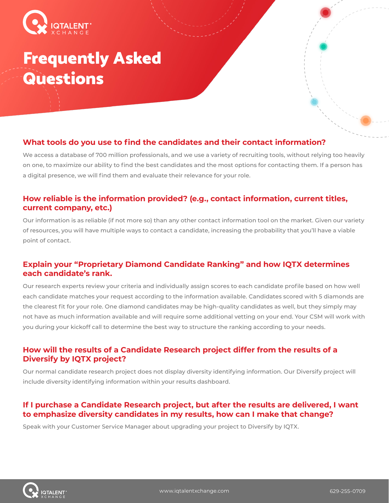

# Frequently Asked **Questions**

# **What tools do you use to find the candidates and their contact information?**

We access a database of 700 million professionals, and we use a variety of recruiting tools, without relying too heavily on one, to maximize our ability to find the best candidates and the most options for contacting them. If a person has a digital presence, we will find them and evaluate their relevance for your role.

# **How reliable is the information provided? (e.g., contact information, current titles, current company, etc.)**

Our information is as reliable (if not more so) than any other contact information tool on the market. Given our variety of resources, you will have multiple ways to contact a candidate, increasing the probability that you'll have a viable point of contact.

# **Explain your "Proprietary Diamond Candidate Ranking" and how IQTX determines each candidate's rank.**

Our research experts review your criteria and individually assign scores to each candidate profile based on how well each candidate matches your request according to the information available. Candidates scored with 5 diamonds are the clearest fit for your role. One diamond candidates may be high-quality candidates as well, but they simply may not have as much information available and will require some additional vetting on your end. Your CSM will work with you during your kickoff call to determine the best way to structure the ranking according to your needs.

# **How will the results of a Candidate Research project differ from the results of a Diversify by IQTX project?**

Our normal candidate research project does not display diversity identifying information. Our Diversify project will include diversity identifying information within your results dashboard.

# **If I purchase a Candidate Research project, but after the results are delivered, I want to emphasize diversity candidates in my results, how can I make that change?**

Speak with your Customer Service Manager about upgrading your project to Diversify by IQTX.

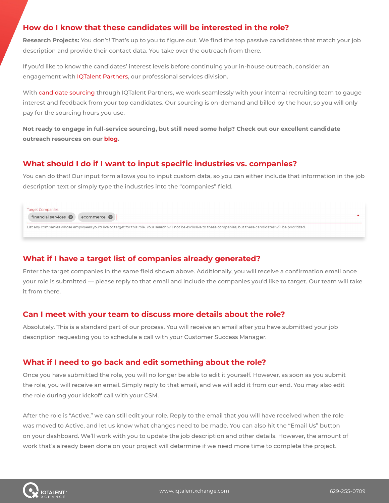# **How do I know that these candidates will be interested in the role?**

**Research Projects:** You don't! That's up to you to figure out. We find the top passive candidates that match your job description and provide their contact data. You take over the outreach from there.

If you'd like to know the candidates' interest levels before continuing your in-house outreach, consider an engagement with [IQTalent Partners,](https://www.iqtalentpartners.com/) our professional services division.

With [candidate sourcing](https://www.iqtalentpartners.com/candidate-sourcing/) through IQTalent Partners, we work seamlessly with your internal recruiting team to gauge interest and feedback from your top candidates. Our sourcing is on-demand and billed by the hour, so you will only pay for the sourcing hours you use.

**Not ready to engage in full-service sourcing, but still need some help? Check out our excellent candidate outreach resources on our [blog.](https://blog.iqtalentpartners.com/)**

## **What should I do if I want to input specific industries vs. companies?**

You can do that! Our input form allows you to input custom data, so you can either include that information in the job description text or simply type the industries into the "companies" field.

Target Companies financial services 8 ecommerce 8 List any companies whose employees you'd like to target for this role. Your search will not be exclusive to these companies, but these candidates will be prioritized.

# **What if I have a target list of companies already generated?**

Enter the target companies in the same field shown above. Additionally, you will receive a confirmation email once your role is submitted — please reply to that email and include the companies you'd like to target. Our team will take it from there.

## **Can I meet with your team to discuss more details about the role?**

Absolutely. This is a standard part of our process. You will receive an email after you have submitted your job description requesting you to schedule a call with your Customer Success Manager.

# **What if I need to go back and edit something about the role?**

Once you have submitted the role, you will no longer be able to edit it yourself. However, as soon as you submit the role, you will receive an email. Simply reply to that email, and we will add it from our end. You may also edit the role during your kickoff call with your CSM.

After the role is "Active," we can still edit your role. Reply to the email that you will have received when the role was moved to Active, and let us know what changes need to be made. You can also hit the "Email Us" button on your dashboard. We'll work with you to update the job description and other details. However, the amount of work that's already been done on your project will determine if we need more time to complete the project.

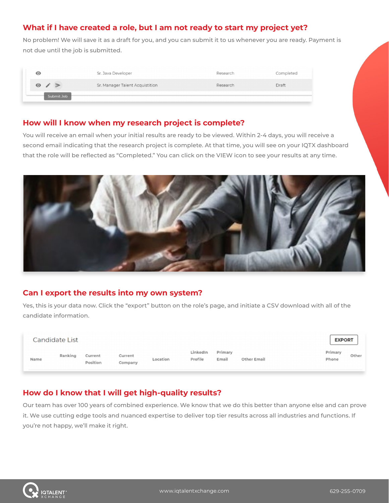# **What if I have created a role, but I am not ready to start my project yet?**

No problem! We will save it as a draft for you, and you can submit it to us whenever you are ready. Payment is not due until the job is submitted.

|  | $\bm{\odot}$               | Sr. Java Developer              | Research | Completed |
|--|----------------------------|---------------------------------|----------|-----------|
|  | $\bullet$<br>$\rightarrow$ | Sr. Manager Talent Acquistition | Research | Draft     |
|  | Submit Job                 |                                 |          |           |

## **How will I know when my research project is complete?**

You will receive an email when your initial results are ready to be viewed. Within 2-4 days, you will receive a second email indicating that the research project is complete. At that time, you will see on your IQTX dashboard that the role will be reflected as "Completed." You can click on the VIEW icon to see your results at any time.



# **Can I export the results into my own system?**

Yes, this is your data now. Click the "export" button on the role's page, and initiate a CSV download with all of the candidate information.

|      | Candidate List |                     |                    |          |                     |                  |                    | <b>EXPORT</b>    |       |
|------|----------------|---------------------|--------------------|----------|---------------------|------------------|--------------------|------------------|-------|
| Name | Ranking        | Current<br>Position | Current<br>Company | Location | LinkedIn<br>Profile | Primary<br>Email | <b>Other Email</b> | Primary<br>Phone | Other |

# **How do I know that I will get high-quality results?**

Our team has over 100 years of combined experience. We know that we do this better than anyone else and can prove it. We use cutting edge tools and nuanced expertise to deliver top tier results across all industries and functions. If you're not happy, we'll make it right.

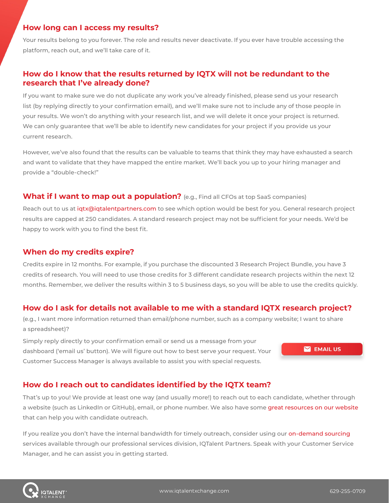#### **How long can I access my results?**

Your results belong to you forever. The role and results never deactivate. If you ever have trouble accessing the platform, reach out, and we'll take care of it.

## **How do I know that the results returned by IQTX will not be redundant to the research that I've already done?**

If you want to make sure we do not duplicate any work you've already finished, please send us your research list (by replying directly to your confirmation email), and we'll make sure not to include any of those people in your results. We won't do anything with your research list, and we will delete it once your project is returned. We can only guarantee that we'll be able to identify new candidates for your project if you provide us your current research.

However, we've also found that the results can be valuable to teams that think they may have exhausted a search and want to validate that they have mapped the entire market. We'll back you up to your hiring manager and provide a "double-check!"

#### **What if I want to map out a population?** (e.g., Find all CFOs at top SaaS companies)

Reach out to us at [iqtx@iqtalentpartners.com](mailto:iqtx%40iqtalentpartners.com?subject=) to see which option would be best for you. General research project results are capped at 250 candidates. A standard research project may not be sufficient for your needs. We'd be happy to work with you to find the best fit.

#### **When do my credits expire?**

Credits expire in 12 months. For example, if you purchase the discounted 3 Research Project Bundle, you have 3 credits of research. You will need to use those credits for 3 different candidate research projects within the next 12 months. Remember, we deliver the results within 3 to 5 business days, so you will be able to use the credits quickly.

## **How do I ask for details not available to me with a standard IQTX research project?**

(e.g., I want more information returned than email/phone number, such as a company website; I want to share a spreadsheet)?

Simply reply directly to your confirmation email or send us a message from your dashboard ('email us' button). We will figure out how to best serve your request. Your Customer Success Manager is always available to assist you with special requests.

 $\blacksquare$  EMAIL US

# **How do I reach out to candidates identified by the IQTX team?**

That's up to you! We provide at least one way (and usually more!) to reach out to each candidate, whether through a website (such as LinkedIn or GitHub), email, or phone number. We also have some [great resources on our website](https://www.iqtalentxchange.com/resource-library/) that can help you with candidate outreach.

If you realize you don't have the internal bandwidth for timely outreach, consider using our [on-demand sourcing](https://www.iqtalentpartners.com/candidate-sourcing/) services available through our professional services division, IQTalent Partners. Speak with your Customer Service Manager, and he can assist you in getting started.